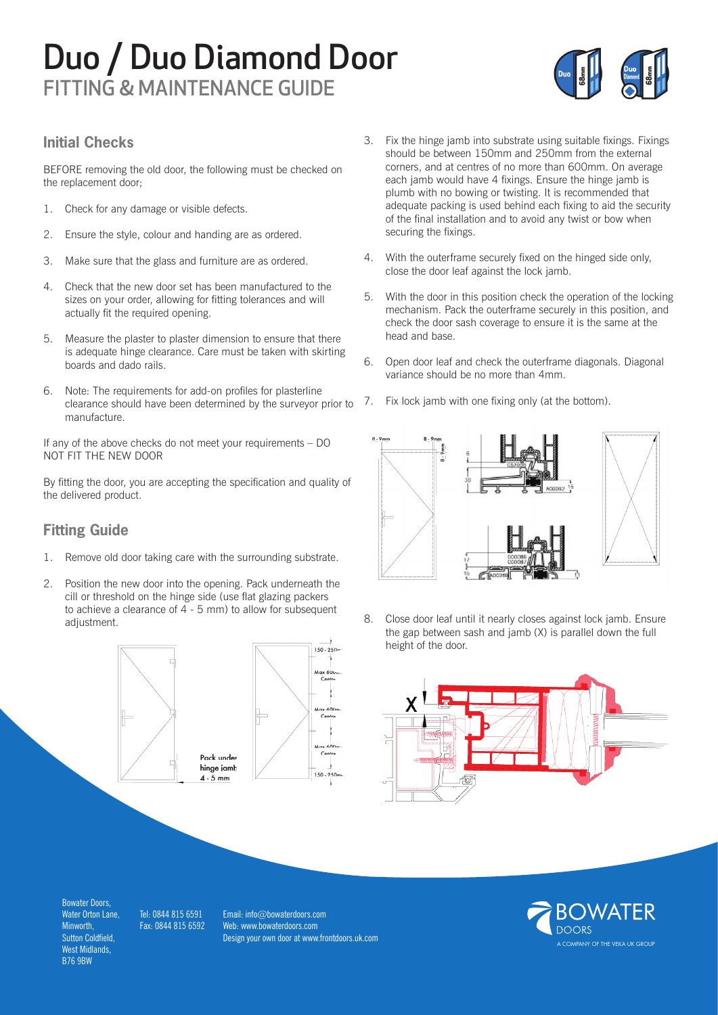### Duo / Duo Diamond Door FITTING & MAINTENANCE GUIDE



#### **Initial Checks**

BEFORE removing the old door, the following must be checked on the replacement door;

- 1. Check for any damage or visible defects.
- 2. Ensure the style, colour and handing are as ordered.
- 3. Make sure that the glass and furniture are as ordered.
- 4. Check that the new door set has been manufactured to the sizes on your order, allowing for fitting tolerances and will actually fit the required opening.
- 5. Measure the plaster to plaster dimension to ensure that there is adequate hinge clearance. Care must be taken with skirting boards and dado rails.
- 6. Note: The requirements for add-on profiles for plasterline clearance should have been determined by the surveyor prior to manufacture.

If any of the above checks do not meet your requirements – DO NOT FIT THE NEW DOOR

By fitting the door, you are accepting the specification and quality of the delivered product.

#### **Fitting Guide**

- 1. Remove old door taking care with the surrounding substrate.
- 2. Position the new door into the opening. Pack underneath the cill or threshold on the hinge side (use flat glazing packers to achieve a clearance of 4 - 5 mm) to allow for subsequent adjustment.



- 3. Fix the hinge jamb into substrate using suitable fixings. Fixings should be between 150mm and 250mm from the external corners, and at centres of no more than 600mm. On average each jamb would have 4 fixings. Ensure the hinge jamb is plumb with no bowing or twisting. It is recommended that adequate packing is used behind each fixing to aid the security of the final installation and to avoid any twist or bow when securing the fixings.
- 4. With the outerframe securely fixed on the hinged side only, close the door leaf against the lock jamb.
- 5. With the door in this position check the operation of the locking mechanism. Pack the outerframe securely in this position, and check the door sash coverage to ensure it is the same at the head and base.
- 6. Open door leaf and check the outerframe diagonals. Diagonal variance should be no more than 4mm.
- 7. Fix lock jamb with one fixing only (at the bottom).



8. Close door leaf until it nearly closes against lock jamb. Ensure the gap between sash and jamb (X) is parallel down the full height of the door.



Bowater Doors, Water Orton Lane, **Minworth** Sutton Coldfield, West Midlands, B76 9BW

Tel: 0844 815 6591 Fax: 0844 815 6592

Email: info@bowaterdoors.com Web: www.bowaterdoors.com Design your own door at www.frontdoors.uk.com

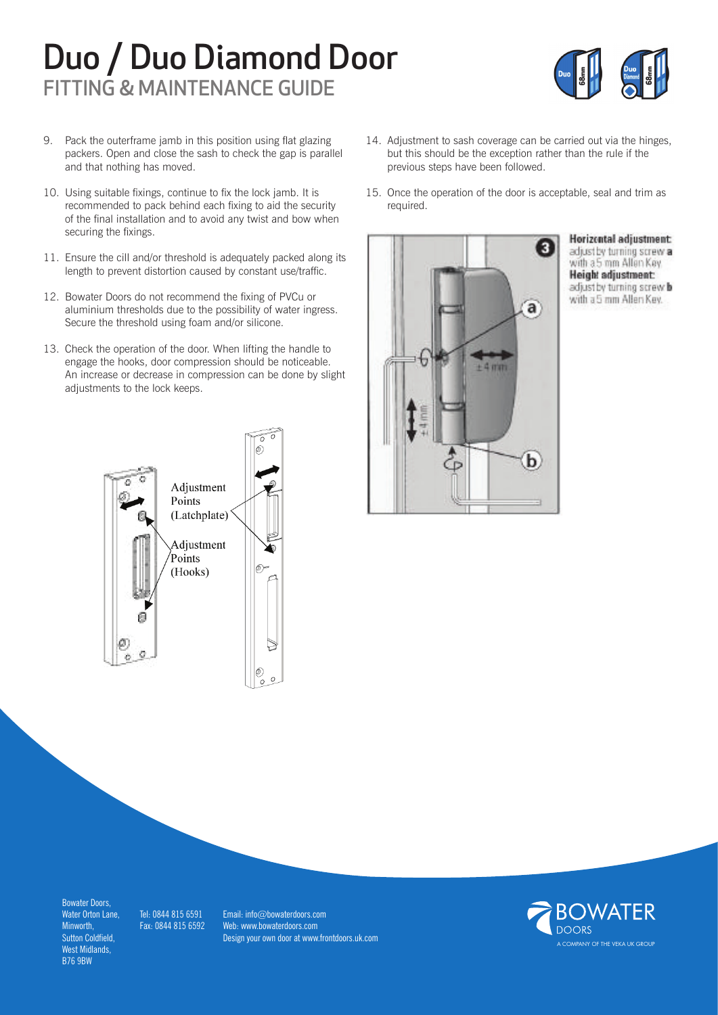## Duo / Duo Diamond Door FITTING & MAINTENANCE GUIDE



- 9. Pack the outerframe jamb in this position using flat glazing packers. Open and close the sash to check the gap is parallel and that nothing has moved.
- 10. Using suitable fixings, continue to fix the lock jamb. It is recommended to pack behind each fixing to aid the security of the final installation and to avoid any twist and bow when securing the fixings.
- 11. Ensure the cill and/or threshold is adequately packed along its length to prevent distortion caused by constant use/traffic.
- 12. Bowater Doors do not recommend the fixing of PVCu or aluminium thresholds due to the possibility of water ingress. Secure the threshold using foam and/or silicone.
- 13. Check the operation of the door. When lifting the handle to engage the hooks, door compression should be noticeable. An increase or decrease in compression can be done by slight adjustments to the lock keeps.



- 14. Adjustment to sash coverage can be carried out via the hinges, but this should be the exception rather than the rule if the previous steps have been followed.
- 15. Once the operation of the door is acceptable, seal and trim as required.



Horizental adjustment: adjust by turning screw a with a 5 mm Allian Key. Height adjustment: adjust by turning screw b with a 5 mm Allen Key.

Bowater Doors, Water Orton Lane, Minworth, Sutton Coldfield, West Midlands, B76 9BW

Tel: 0844 815 6591 Fax: 0844 815 6592

Email: info@bowaterdoors.com Web: www.bowaterdoors.com Design your own door at www.frontdoors.uk.com